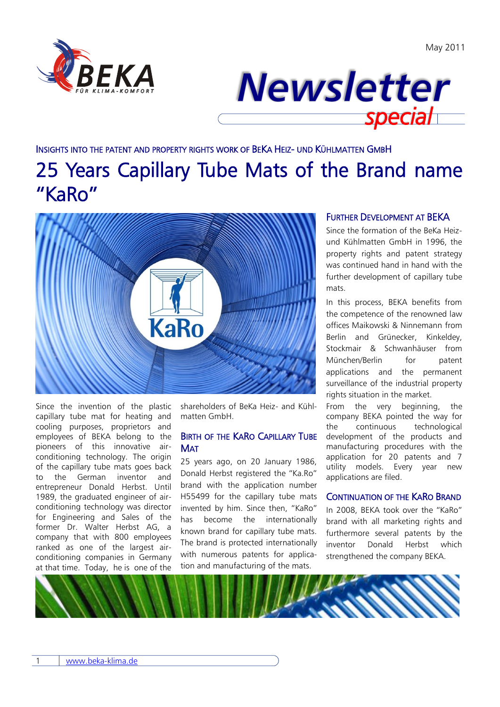



### INSIGHTS INTO THE PATENT AND PROPERTY RIGHTS WORK OF BEKA HEIZ- UND KÜHLMATTEN GMBH 25 Years Capillary Tube Mats of the Brand name "KaRo"



Since the invention of the plastic capillary tube mat for heating and cooling purposes, proprietors and employees of BEKA belong to the pioneers of this innovative airconditioning technology. The origin of the capillary tube mats goes back to the German inventor and entrepreneur Donald Herbst. Until 1989, the graduated engineer of airconditioning technology was director for Engineering and Sales of the former Dr. Walter Herbst AG, a company that with 800 employees ranked as one of the largest airconditioning companies in Germany at that time. Today, he is one of the

shareholders of BeKa Heiz- and Kühlmatten GmbH.

### BIRTH OF THE KARO CAPILLARY TUBE **MAT**

25 years ago, on 20 January 1986, Donald Herbst registered the "Ka.Ro" brand with the application number H55499 for the capillary tube mats invented by him. Since then, "KaRo" has become the internationally known brand for capillary tube mats. The brand is protected internationally with numerous patents for application and manufacturing of the mats.

### FURTHER DEVELOPMENT AT BEKA

Since the formation of the BeKa Heizund Kühlmatten GmbH in 1996, the property rights and patent strategy was continued hand in hand with the further development of capillary tube mats.

In this process, BEKA benefits from the competence of the renowned law offices Maikowski & Ninnemann from Berlin and Grünecker, Kinkeldey, Stockmair & Schwanhäuser from München/Berlin for patent applications and the permanent surveillance of the industrial property rights situation in the market.

From the very beginning, the company BEKA pointed the way for the continuous technological development of the products and manufacturing procedures with the application for 20 patents and 7 utility models. Every year new applications are filed.

#### CONTINUATION OF THE KARO BRAND

In 2008, BEKA took over the "KaRo" brand with all marketing rights and furthermore several patents by the inventor Donald Herbst which strengthened the company BEKA.